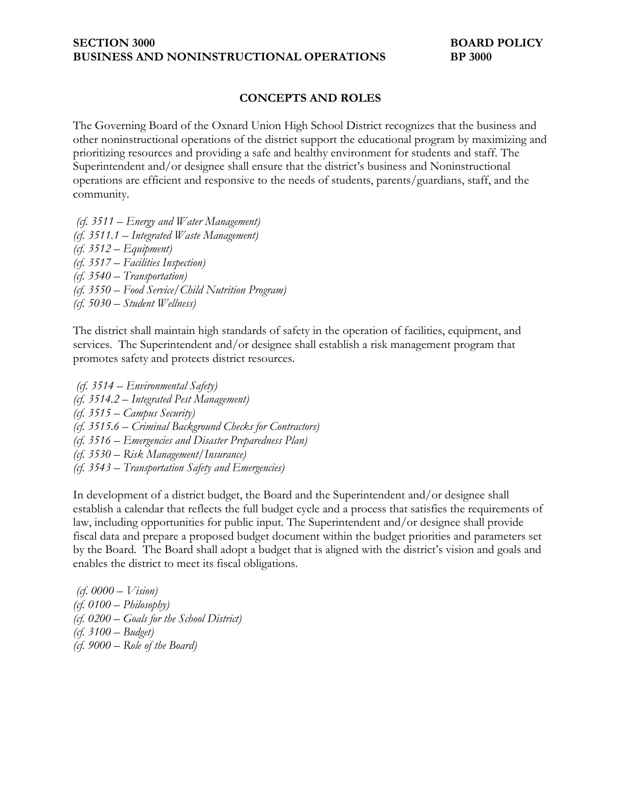### **SECTION 3000 BOARD POLICY BUSINESS AND NONINSTRUCTIONAL OPERATIONS BP 3000**

## **CONCEPTS AND ROLES**

The Governing Board of the Oxnard Union High School District recognizes that the business and other noninstructional operations of the district support the educational program by maximizing and prioritizing resources and providing a safe and healthy environment for students and staff. The Superintendent and/or designee shall ensure that the district's business and Noninstructional operations are efficient and responsive to the needs of students, parents/guardians, staff, and the community.

*(cf. 3511 – Energy and Water Management) (cf. 3511.1 – Integrated Waste Management) (cf. 3512 – Equipment) (cf. 3517 – Facilities Inspection) (cf. 3540 – Transportation) (cf. 3550 – Food Service/Child Nutrition Program) (cf. 5030 – Student Wellness)*

The district shall maintain high standards of safety in the operation of facilities, equipment, and services. The Superintendent and/or designee shall establish a risk management program that promotes safety and protects district resources.

*(cf. 3514 – Environmental Safety) (cf. 3514.2 – Integrated Pest Management) (cf. 3515 – Campus Security) (cf. 3515.6 – Criminal Background Checks for Contractors) (cf. 3516 – Emergencies and Disaster Preparedness Plan) (cf. 3530 – Risk Management/Insurance) (cf. 3543 – Transportation Safety and Emergencies)*

In development of a district budget, the Board and the Superintendent and/or designee shall establish a calendar that reflects the full budget cycle and a process that satisfies the requirements of law, including opportunities for public input. The Superintendent and/or designee shall provide fiscal data and prepare a proposed budget document within the budget priorities and parameters set by the Board. The Board shall adopt a budget that is aligned with the district's vision and goals and enables the district to meet its fiscal obligations.

*(cf. 0000 – Vision) (cf. 0100 – Philosophy) (cf. 0200 – Goals for the School District) (cf. 3100 – Budget) (cf. 9000 – Role of the Board)*